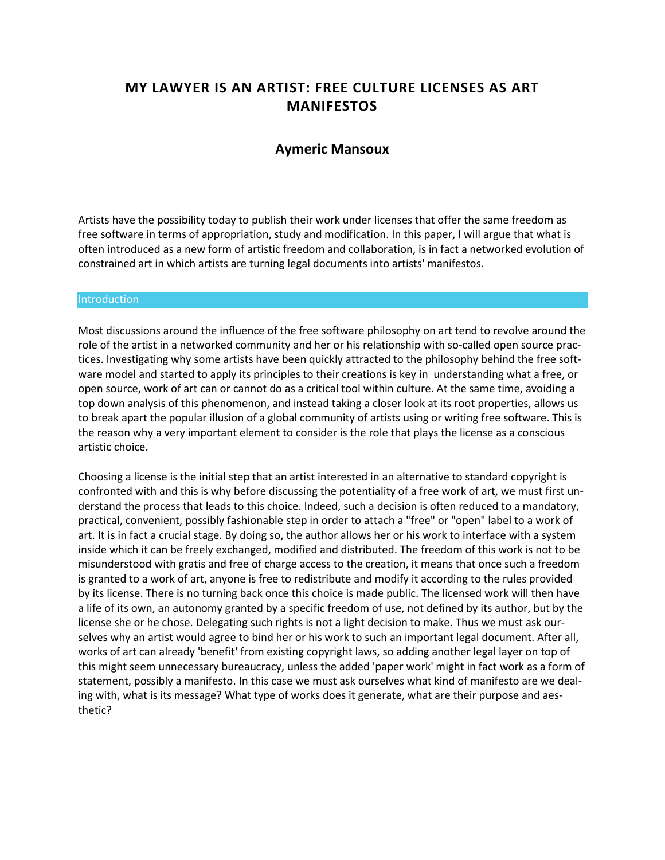# **MY LAWYER IS AN ARTIST: FREE CULTURE LICENSES AS ART MANIFESTOS**

# **[Aymeric Mansoux](http://isea2011.sabanciuniv.edu/-203.html)**

Artists have the possibility today to publish their work under licenses that offer the same freedom as free software in terms of appropriation, study and modification. In this paper, I will argue that what is often introduced as a new form of artistic freedom and collaboration, is in fact a networked evolution of constrained art in which artists are turning legal documents into artists' manifestos.

#### **Introduction**

Most discussions around the influence of the free software philosophy on art tend to revolve around the role of the artist in a networked community and her or his relationship with so-called open source practices. Investigating why some artists have been quickly attracted to the philosophy behind the free software model and started to apply its principles to their creations is key in understanding what a free, or open source, work of art can or cannot do as a critical tool within culture. At the same time, avoiding a top down analysis of this phenomenon, and instead taking a closer look at its root properties, allows us to break apart the popular illusion of a global community of artists using or writing free software. This is the reason why a very important element to consider is the role that plays the license as a conscious artistic choice.

Choosing a license is the initial step that an artist interested in an alternative to standard copyright is confronted with and this is why before discussing the potentiality of a free work of art, we must first understand the process that leads to this choice. Indeed, such a decision is often reduced to a mandatory, practical, convenient, possibly fashionable step in order to attach a "free" or "open" label to a work of art. It is in fact a crucial stage. By doing so, the author allows her or his work to interface with a system inside which it can be freely exchanged, modified and distributed. The freedom of this work is not to be misunderstood with gratis and free of charge access to the creation, it means that once such a freedom is granted to a work of art, anyone is free to redistribute and modify it according to the rules provided by its license. There is no turning back once this choice is made public. The licensed work will then have a life of its own, an autonomy granted by a specific freedom of use, not defined by its author, but by the license she or he chose. Delegating such rights is not a light decision to make. Thus we must ask ourselves why an artist would agree to bind her or his work to such an important legal document. After all, works of art can already 'benefit' from existing copyright laws, so adding another legal layer on top of this might seem unnecessary bureaucracy, unless the added 'paper work' might in fact work as a form of statement, possibly a manifesto. In this case we must ask ourselves what kind of manifesto are we dealing with, what is its message? What type of works does it generate, what are their purpose and aesthetic?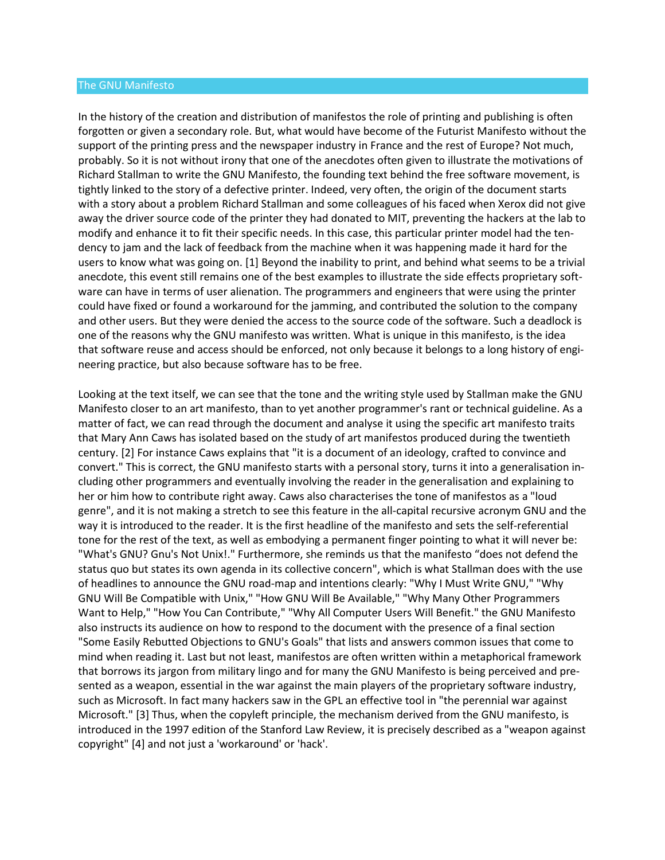#### The GNU Manifesto

In the history of the creation and distribution of manifestos the role of printing and publishing is often forgotten or given a secondary role. But, what would have become of the Futurist Manifesto without the support of the printing press and the newspaper industry in France and the rest of Europe? Not much, probably. So it is not without irony that one of the anecdotes often given to illustrate the motivations of Richard Stallman to write the GNU Manifesto, the founding text behind the free software movement, is tightly linked to the story of a defective printer. Indeed, very often, the origin of the document starts with a story about a problem Richard Stallman and some colleagues of his faced when Xerox did not give away the driver source code of the printer they had donated to MIT, preventing the hackers at the lab to modify and enhance it to fit their specific needs. In this case, this particular printer model had the tendency to jam and the lack of feedback from the machine when it was happening made it hard for the users to know what was going on. [1] Beyond the inability to print, and behind what seems to be a trivial anecdote, this event still remains one of the best examples to illustrate the side effects proprietary software can have in terms of user alienation. The programmers and engineers that were using the printer could have fixed or found a workaround for the jamming, and contributed the solution to the company and other users. But they were denied the access to the source code of the software. Such a deadlock is one of the reasons why the GNU manifesto was written. What is unique in this manifesto, is the idea that software reuse and access should be enforced, not only because it belongs to a long history of engineering practice, but also because software has to be free.

Looking at the text itself, we can see that the tone and the writing style used by Stallman make the GNU Manifesto closer to an art manifesto, than to yet another programmer's rant or technical guideline. As a matter of fact, we can read through the document and analyse it using the specific art manifesto traits that Mary Ann Caws has isolated based on the study of art manifestos produced during the twentieth century. [2] For instance Caws explains that "it is a document of an ideology, crafted to convince and convert." This is correct, the GNU manifesto starts with a personal story, turns it into a generalisation including other programmers and eventually involving the reader in the generalisation and explaining to her or him how to contribute right away. Caws also characterises the tone of manifestos as a "loud genre", and it is not making a stretch to see this feature in the all-capital recursive acronym GNU and the way it is introduced to the reader. It is the first headline of the manifesto and sets the self-referential tone for the rest of the text, as well as embodying a permanent finger pointing to what it will never be: "What's GNU? Gnu's Not Unix!." Furthermore, she reminds us that the manifesto "does not defend the status quo but states its own agenda in its collective concern", which is what Stallman does with the use of headlines to announce the GNU road-map and intentions clearly: "Why I Must Write GNU," "Why GNU Will Be Compatible with Unix," "How GNU Will Be Available," "Why Many Other Programmers Want to Help," "How You Can Contribute," "Why All Computer Users Will Benefit." the GNU Manifesto also instructs its audience on how to respond to the document with the presence of a final section "Some Easily Rebutted Objections to GNU's Goals" that lists and answers common issues that come to mind when reading it. Last but not least, manifestos are often written within a metaphorical framework that borrows its jargon from military lingo and for many the GNU Manifesto is being perceived and presented as a weapon, essential in the war against the main players of the proprietary software industry, such as Microsoft. In fact many hackers saw in the GPL an effective tool in "the perennial war against Microsoft." [3] Thus, when the copyleft principle, the mechanism derived from the GNU manifesto, is introduced in the 1997 edition of the Stanford Law Review, it is precisely described as a "weapon against copyright" [4] and not just a 'workaround' or 'hack'.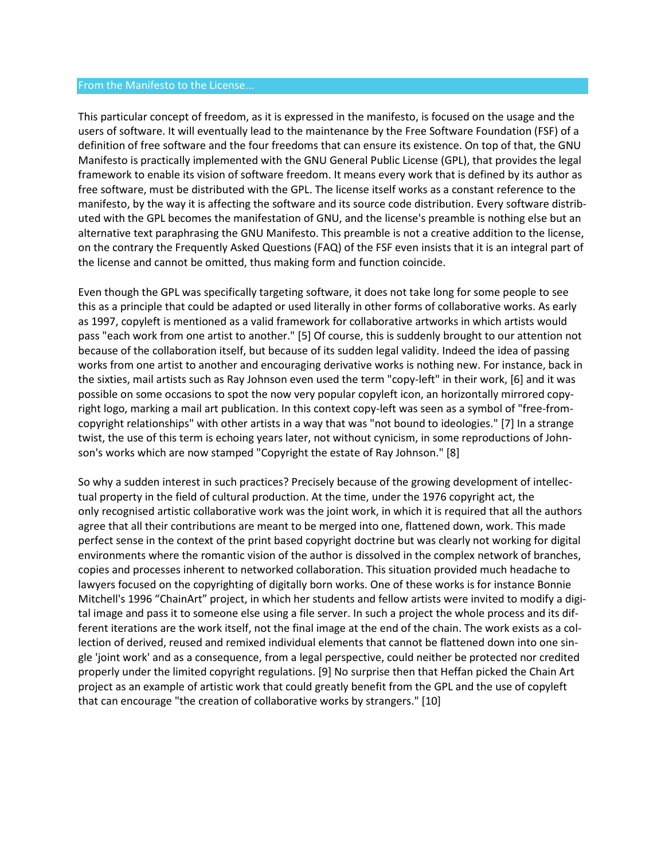#### From the Manifesto to the License...

This particular concept of freedom, as it is expressed in the manifesto, is focused on the usage and the users of software. It will eventually lead to the maintenance by the Free Software Foundation (FSF) of a definition of free software and the four freedoms that can ensure its existence. On top of that, the GNU Manifesto is practically implemented with the GNU General Public License (GPL), that provides the legal framework to enable its vision of software freedom. It means every work that is defined by its author as free software, must be distributed with the GPL. The license itself works as a constant reference to the manifesto, by the way it is affecting the software and its source code distribution. Every software distributed with the GPL becomes the manifestation of GNU, and the license's preamble is nothing else but an alternative text paraphrasing the GNU Manifesto. This preamble is not a creative addition to the license, on the contrary the Frequently Asked Questions (FAQ) of the FSF even insists that it is an integral part of the license and cannot be omitted, thus making form and function coincide.

Even though the GPL was specifically targeting software, it does not take long for some people to see this as a principle that could be adapted or used literally in other forms of collaborative works. As early as 1997, copyleft is mentioned as a valid framework for collaborative artworks in which artists would pass "each work from one artist to another." [5] Of course, this is suddenly brought to our attention not because of the collaboration itself, but because of its sudden legal validity. Indeed the idea of passing works from one artist to another and encouraging derivative works is nothing new. For instance, back in the sixties, mail artists such as Ray Johnson even used the term "copy-left" in their work, [6] and it was possible on some occasions to spot the now very popular copyleft icon, an horizontally mirrored copyright logo, marking a mail art publication. In this context copy-left was seen as a symbol of "free-fromcopyright relationships" with other artists in a way that was "not bound to ideologies." [7] In a strange twist, the use of this term is echoing years later, not without cynicism, in some reproductions of Johnson's works which are now stamped "Copyright the estate of Ray Johnson." [8]

So why a sudden interest in such practices? Precisely because of the growing development of intellectual property in the field of cultural production. At the time, under the 1976 copyright act, the only recognised artistic collaborative work was the joint work, in which it is required that all the authors agree that all their contributions are meant to be merged into one, flattened down, work. This made perfect sense in the context of the print based copyright doctrine but was clearly not working for digital environments where the romantic vision of the author is dissolved in the complex network of branches, copies and processes inherent to networked collaboration. This situation provided much headache to lawyers focused on the copyrighting of digitally born works. One of these works is for instance Bonnie Mitchell's 1996 "ChainArt" project, in which her students and fellow artists were invited to modify a digital image and pass it to someone else using a file server. In such a project the whole process and its different iterations are the work itself, not the final image at the end of the chain. The work exists as a collection of derived, reused and remixed individual elements that cannot be flattened down into one single 'joint work' and as a consequence, from a legal perspective, could neither be protected nor credited properly under the limited copyright regulations. [9] No surprise then that Heffan picked the Chain Art project as an example of artistic work that could greatly benefit from the GPL and the use of copyleft that can encourage "the creation of collaborative works by strangers." [10]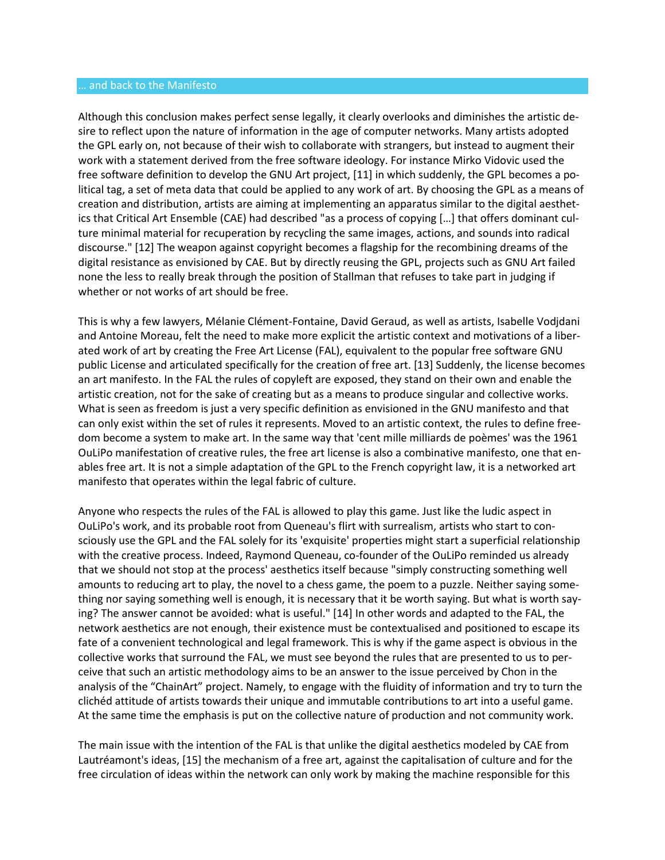#### … and back to the Manifesto

Although this conclusion makes perfect sense legally, it clearly overlooks and diminishes the artistic desire to reflect upon the nature of information in the age of computer networks. Many artists adopted the GPL early on, not because of their wish to collaborate with strangers, but instead to augment their work with a statement derived from the free software ideology. For instance Mirko Vidovic used the free software definition to develop the GNU Art project, [11] in which suddenly, the GPL becomes a political tag, a set of meta data that could be applied to any work of art. By choosing the GPL as a means of creation and distribution, artists are aiming at implementing an apparatus similar to the digital aesthetics that Critical Art Ensemble (CAE) had described "as a process of copying […] that offers dominant culture minimal material for recuperation by recycling the same images, actions, and sounds into radical discourse." [12] The weapon against copyright becomes a flagship for the recombining dreams of the digital resistance as envisioned by CAE. But by directly reusing the GPL, projects such as GNU Art failed none the less to really break through the position of Stallman that refuses to take part in judging if whether or not works of art should be free.

This is why a few lawyers, Mélanie Clément-Fontaine, David Geraud, as well as artists, Isabelle Vodjdani and Antoine Moreau, felt the need to make more explicit the artistic context and motivations of a liberated work of art by creating the Free Art License (FAL), equivalent to the popular free software GNU public License and articulated specifically for the creation of free art. [13] Suddenly, the license becomes an art manifesto. In the FAL the rules of copyleft are exposed, they stand on their own and enable the artistic creation, not for the sake of creating but as a means to produce singular and collective works. What is seen as freedom is just a very specific definition as envisioned in the GNU manifesto and that can only exist within the set of rules it represents. Moved to an artistic context, the rules to define freedom become a system to make art. In the same way that 'cent mille milliards de poèmes' was the 1961 OuLiPo manifestation of creative rules, the free art license is also a combinative manifesto, one that enables free art. It is not a simple adaptation of the GPL to the French copyright law, it is a networked art manifesto that operates within the legal fabric of culture.

Anyone who respects the rules of the FAL is allowed to play this game. Just like the ludic aspect in OuLiPo's work, and its probable root from Queneau's flirt with surrealism, artists who start to consciously use the GPL and the FAL solely for its 'exquisite' properties might start a superficial relationship with the creative process. Indeed, Raymond Queneau, co-founder of the OuLiPo reminded us already that we should not stop at the process' aesthetics itself because "simply constructing something well amounts to reducing art to play, the novel to a chess game, the poem to a puzzle. Neither saying something nor saying something well is enough, it is necessary that it be worth saying. But what is worth saying? The answer cannot be avoided: what is useful." [14] In other words and adapted to the FAL, the network aesthetics are not enough, their existence must be contextualised and positioned to escape its fate of a convenient technological and legal framework. This is why if the game aspect is obvious in the collective works that surround the FAL, we must see beyond the rules that are presented to us to perceive that such an artistic methodology aims to be an answer to the issue perceived by Chon in the analysis of the "ChainArt" project. Namely, to engage with the fluidity of information and try to turn the clichéd attitude of artists towards their unique and immutable contributions to art into a useful game. At the same time the emphasis is put on the collective nature of production and not community work.

The main issue with the intention of the FAL is that unlike the digital aesthetics modeled by CAE from Lautréamont's ideas, [15] the mechanism of a free art, against the capitalisation of culture and for the free circulation of ideas within the network can only work by making the machine responsible for this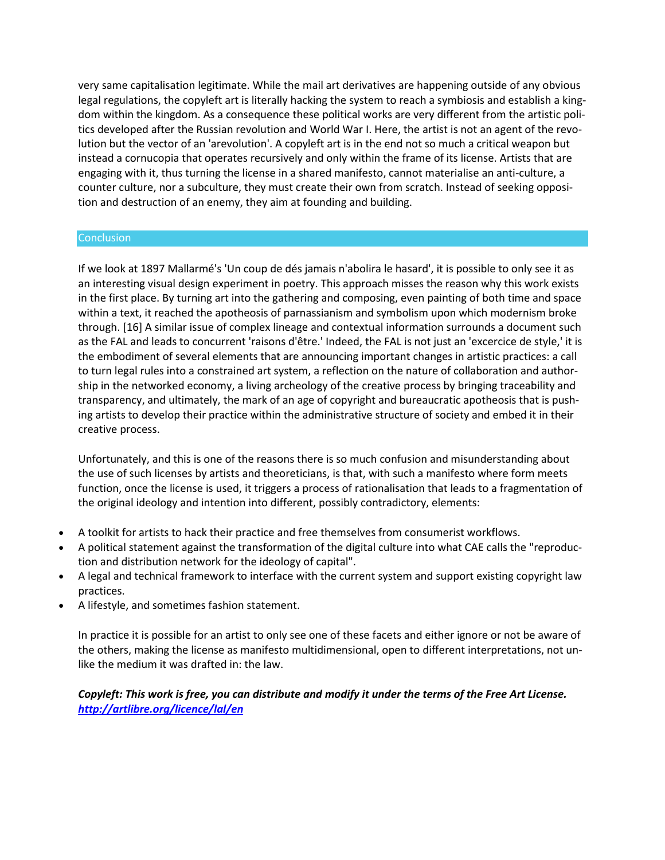very same capitalisation legitimate. While the mail art derivatives are happening outside of any obvious legal regulations, the copyleft art is literally hacking the system to reach a symbiosis and establish a kingdom within the kingdom. As a consequence these political works are very different from the artistic politics developed after the Russian revolution and World War I. Here, the artist is not an agent of the revolution but the vector of an 'arevolution'. A copyleft art is in the end not so much a critical weapon but instead a cornucopia that operates recursively and only within the frame of its license. Artists that are engaging with it, thus turning the license in a shared manifesto, cannot materialise an anti-culture, a counter culture, nor a subculture, they must create their own from scratch. Instead of seeking opposition and destruction of an enemy, they aim at founding and building.

### **Conclusion**

If we look at 1897 Mallarmé's 'Un coup de dés jamais n'abolira le hasard', it is possible to only see it as an interesting visual design experiment in poetry. This approach misses the reason why this work exists in the first place. By turning art into the gathering and composing, even painting of both time and space within a text, it reached the apotheosis of parnassianism and symbolism upon which modernism broke through. [16] A similar issue of complex lineage and contextual information surrounds a document such as the FAL and leads to concurrent 'raisons d'être.' Indeed, the FAL is not just an 'excercice de style,' it is the embodiment of several elements that are announcing important changes in artistic practices: a call to turn legal rules into a constrained art system, a reflection on the nature of collaboration and authorship in the networked economy, a living archeology of the creative process by bringing traceability and transparency, and ultimately, the mark of an age of copyright and bureaucratic apotheosis that is pushing artists to develop their practice within the administrative structure of society and embed it in their creative process.

Unfortunately, and this is one of the reasons there is so much confusion and misunderstanding about the use of such licenses by artists and theoreticians, is that, with such a manifesto where form meets function, once the license is used, it triggers a process of rationalisation that leads to a fragmentation of the original ideology and intention into different, possibly contradictory, elements:

- A toolkit for artists to hack their practice and free themselves from consumerist workflows.
- A political statement against the transformation of the digital culture into what CAE calls the "reproduction and distribution network for the ideology of capital".
- A legal and technical framework to interface with the current system and support existing copyright law practices.
- A lifestyle, and sometimes fashion statement.

In practice it is possible for an artist to only see one of these facets and either ignore or not be aware of the others, making the license as manifesto multidimensional, open to different interpretations, not unlike the medium it was drafted in: the law.

*Copyleft: This work is free, you can distribute and modify it under the terms of the Free Art License. [http://artlibre.org/licence/lal/en](http://artlibre.org/​licence/​lal/​en)*